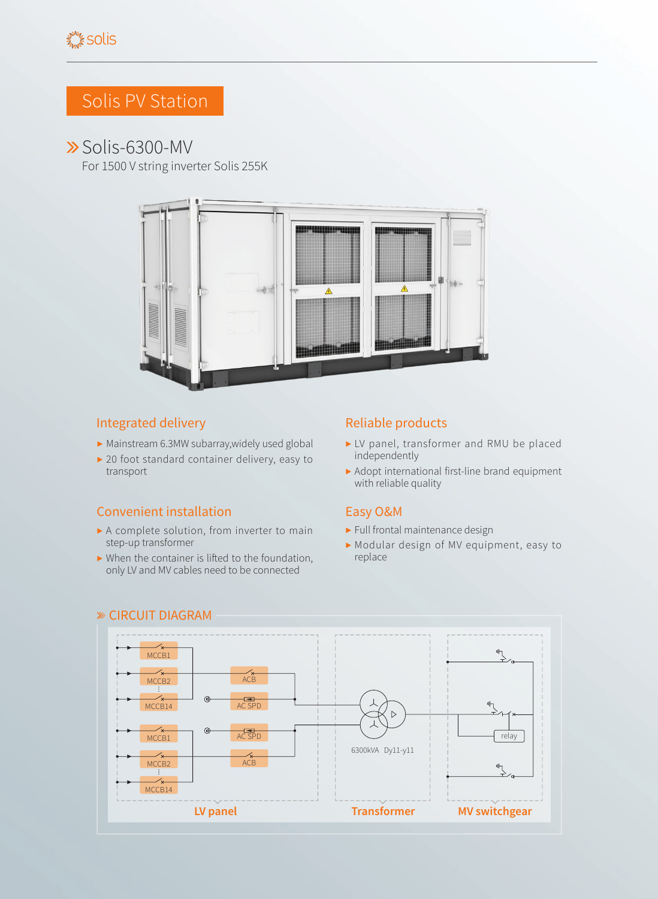# Solis PV Station

## Solis-6300-MV

For 1500 V string inverter Solis 255K



### Integrated delivery **Reliable products** Reliable products

- ▶ Mainstream 6.3MW subarray,widely used global
- ▶ 20 foot standard container delivery, easy to transport

### Convenient installation Easy O&M

- ▶ A complete solution, from inverter to main step-up transformer
- $\blacktriangleright$  When the container is lifted to the foundation, only LV and MV cables need to be connected

- ▶ LV panel, transformer and RMU be placed independently
- ▶ Adopt international first-line brand equipment with reliable quality

- ▶ Full frontal maintenance design
- ▶ Modular design of MV equipment, easy to replace



#### CIRCUIT DIAGRAM